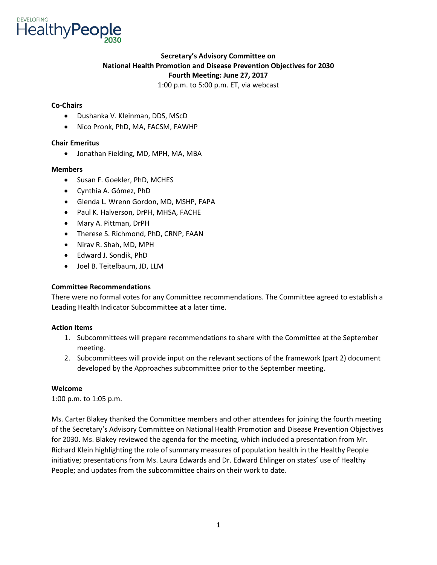

# **Secretary's Advisory Committee on National Health Promotion and Disease Prevention Objectives for 2030 Fourth Meeting: June 27, 2017**

1:00 p.m. to 5:00 p.m. ET, via webcast

### **Co-Chairs**

- Dushanka V. Kleinman, DDS, MScD
- Nico Pronk, PhD, MA, FACSM, FAWHP

### **Chair Emeritus**

• Jonathan Fielding, MD, MPH, MA, MBA

### **Members**

- Susan F. Goekler, PhD, MCHES
- Cynthia A. Gómez, PhD
- Glenda L. Wrenn Gordon, MD, MSHP, FAPA
- Paul K. Halverson, DrPH, MHSA, FACHE
- Mary A. Pittman, DrPH
- Therese S. Richmond, PhD, CRNP, FAAN
- Nirav R. Shah, MD, MPH
- Edward J. Sondik, PhD
- Joel B. Teitelbaum, JD, LLM

## **Committee Recommendations**

There were no formal votes for any Committee recommendations. The Committee agreed to establish a Leading Health Indicator Subcommittee at a later time.

## **Action Items**

- 1. Subcommittees will prepare recommendations to share with the Committee at the September meeting.
- 2. Subcommittees will provide input on the relevant sections of the framework (part 2) document developed by the Approaches subcommittee prior to the September meeting.

#### **Welcome**

1:00 p.m. to 1:05 p.m.

Ms. Carter Blakey thanked the Committee members and other attendees for joining the fourth meeting of the Secretary's Advisory Committee on National Health Promotion and Disease Prevention Objectives for 2030. Ms. Blakey reviewed the agenda for the meeting, which included a presentation from Mr. Richard Klein highlighting the role of summary measures of population health in the Healthy People initiative; presentations from Ms. Laura Edwards and Dr. Edward Ehlinger on states' use of Healthy People; and updates from the subcommittee chairs on their work to date.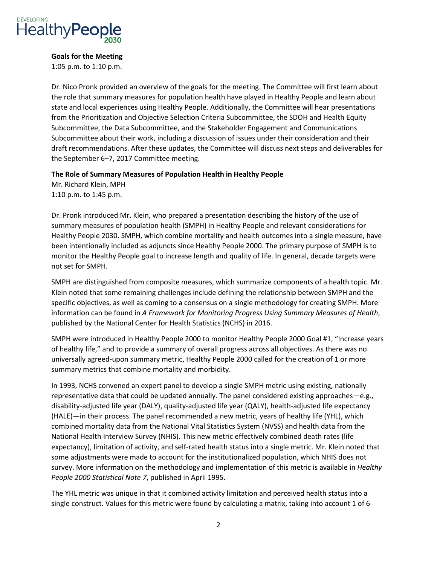

### **Goals for the Meeting**

1:05 p.m. to 1:10 p.m.

Dr. Nico Pronk provided an overview of the goals for the meeting. The Committee will first learn about the role that summary measures for population health have played in Healthy People and learn about state and local experiences using Healthy People. Additionally, the Committee will hear presentations from the Prioritization and Objective Selection Criteria Subcommittee, the SDOH and Health Equity Subcommittee, the Data Subcommittee, and the Stakeholder Engagement and Communications Subcommittee about their work, including a discussion of issues under their consideration and their draft recommendations. After these updates, the Committee will discuss next steps and deliverables for the September 6–7, 2017 Committee meeting.

### **The Role of Summary Measures of Population Health in Healthy People**

Mr. Richard Klein, MPH 1:10 p.m. to 1:45 p.m.

Dr. Pronk introduced Mr. Klein, who prepared a presentation describing the history of the use of summary measures of population health (SMPH) in Healthy People and relevant considerations for Healthy People 2030. SMPH, which combine mortality and health outcomes into a single measure, have been intentionally included as adjuncts since Healthy People 2000. The primary purpose of SMPH is to monitor the Healthy People goal to increase length and quality of life. In general, decade targets were not set for SMPH.

SMPH are distinguished from composite measures, which summarize components of a health topic. Mr. Klein noted that some remaining challenges include defining the relationship between SMPH and the specific objectives, as well as coming to a consensus on a single methodology for creating SMPH. More information can be found in *A Framework for Monitoring Progress Using Summary Measures of Health*, published by the National Center for Health Statistics (NCHS) in 2016.

SMPH were introduced in Healthy People 2000 to monitor Healthy People 2000 Goal #1, "Increase years of healthy life," and to provide a summary of overall progress across all objectives. As there was no universally agreed-upon summary metric, Healthy People 2000 called for the creation of 1 or more summary metrics that combine mortality and morbidity.

In 1993, NCHS convened an expert panel to develop a single SMPH metric using existing, nationally representative data that could be updated annually. The panel considered existing approaches—e.g., disability-adjusted life year (DALY), quality-adjusted life year (QALY), health-adjusted life expectancy (HALE)—in their process. The panel recommended a new metric, years of healthy life (YHL), which combined mortality data from the National Vital Statistics System (NVSS) and health data from the National Health Interview Survey (NHIS). This new metric effectively combined death rates (life expectancy), limitation of activity, and self-rated health status into a single metric. Mr. Klein noted that some adjustments were made to account for the institutionalized population, which NHIS does not survey. More information on the methodology and implementation of this metric is available in *Healthy People 2000 Statistical Note 7*, published in April 1995.

The YHL metric was unique in that it combined activity limitation and perceived health status into a single construct. Values for this metric were found by calculating a matrix, taking into account 1 of 6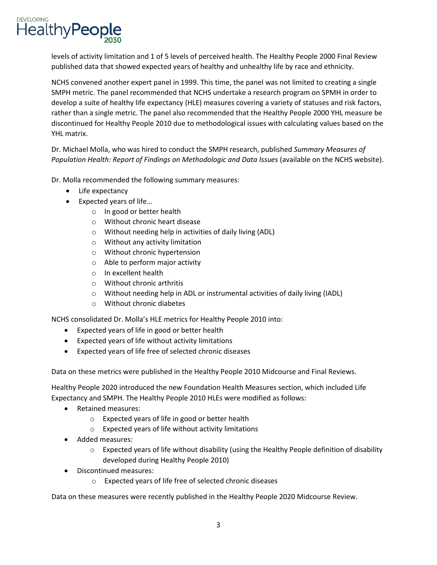levels of activity limitation and 1 of 5 levels of perceived health. The Healthy People 2000 Final Review published data that showed expected years of healthy and unhealthy life by race and ethnicity.

NCHS convened another expert panel in 1999. This time, the panel was not limited to creating a single SMPH metric. The panel recommended that NCHS undertake a research program on SPMH in order to develop a suite of healthy life expectancy (HLE) measures covering a variety of statuses and risk factors, rather than a single metric. The panel also recommended that the Healthy People 2000 YHL measure be discontinued for Healthy People 2010 due to methodological issues with calculating values based on the YHL matrix.

Dr. Michael Molla, who was hired to conduct the SMPH research, published *Summary Measures of Population Health: Report of Findings on Methodologic and Data Issues* (available on the NCHS website).

Dr. Molla recommended the following summary measures:

• Life expectancy

**DEVELOPING** 

**HealthyPeople** 

- Expected years of life…
	- o In good or better health
	- o Without chronic heart disease
	- o Without needing help in activities of daily living (ADL)
	- o Without any activity limitation
	- o Without chronic hypertension
	- o Able to perform major activity
	- o In excellent health
	- o Without chronic arthritis
	- o Without needing help in ADL or instrumental activities of daily living (IADL)
	- o Without chronic diabetes

NCHS consolidated Dr. Molla's HLE metrics for Healthy People 2010 into:

- Expected years of life in good or better health
- Expected years of life without activity limitations
- Expected years of life free of selected chronic diseases

Data on these metrics were published in the Healthy People 2010 Midcourse and Final Reviews.

Healthy People 2020 introduced the new Foundation Health Measures section, which included Life Expectancy and SMPH. The Healthy People 2010 HLEs were modified as follows:

- Retained measures:
	- o Expected years of life in good or better health
	- o Expected years of life without activity limitations
- Added measures:
	- $\circ$  Expected years of life without disability (using the Healthy People definition of disability developed during Healthy People 2010)
- Discontinued measures:
	- o Expected years of life free of selected chronic diseases

Data on these measures were recently published in the Healthy People 2020 Midcourse Review.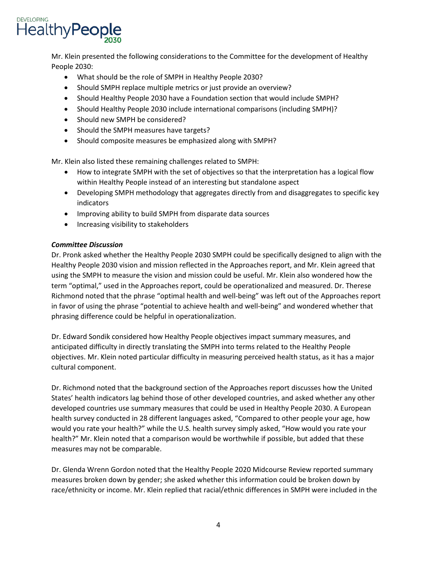

Mr. Klein presented the following considerations to the Committee for the development of Healthy People 2030:

- What should be the role of SMPH in Healthy People 2030?
- Should SMPH replace multiple metrics or just provide an overview?
- Should Healthy People 2030 have a Foundation section that would include SMPH?
- Should Healthy People 2030 include international comparisons (including SMPH)?
- Should new SMPH be considered?
- Should the SMPH measures have targets?
- Should composite measures be emphasized along with SMPH?

Mr. Klein also listed these remaining challenges related to SMPH:

- How to integrate SMPH with the set of objectives so that the interpretation has a logical flow within Healthy People instead of an interesting but standalone aspect
- Developing SMPH methodology that aggregates directly from and disaggregates to specific key indicators
- Improving ability to build SMPH from disparate data sources
- Increasing visibility to stakeholders

### *Committee Discussion*

Dr. Pronk asked whether the Healthy People 2030 SMPH could be specifically designed to align with the Healthy People 2030 vision and mission reflected in the Approaches report, and Mr. Klein agreed that using the SMPH to measure the vision and mission could be useful. Mr. Klein also wondered how the term "optimal," used in the Approaches report, could be operationalized and measured. Dr. Therese Richmond noted that the phrase "optimal health and well-being" was left out of the Approaches report in favor of using the phrase "potential to achieve health and well-being" and wondered whether that phrasing difference could be helpful in operationalization.

Dr. Edward Sondik considered how Healthy People objectives impact summary measures, and anticipated difficulty in directly translating the SMPH into terms related to the Healthy People objectives. Mr. Klein noted particular difficulty in measuring perceived health status, as it has a major cultural component.

Dr. Richmond noted that the background section of the Approaches report discusses how the United States' health indicators lag behind those of other developed countries, and asked whether any other developed countries use summary measures that could be used in Healthy People 2030. A European health survey conducted in 28 different languages asked, "Compared to other people your age, how would you rate your health?" while the U.S. health survey simply asked, "How would you rate your health?" Mr. Klein noted that a comparison would be worthwhile if possible, but added that these measures may not be comparable.

Dr. Glenda Wrenn Gordon noted that the Healthy People 2020 Midcourse Review reported summary measures broken down by gender; she asked whether this information could be broken down by race/ethnicity or income. Mr. Klein replied that racial/ethnic differences in SMPH were included in the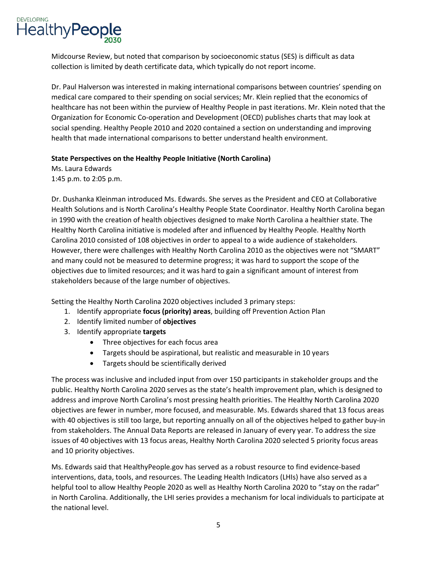

Midcourse Review, but noted that comparison by socioeconomic status (SES) is difficult as data collection is limited by death certificate data, which typically do not report income.

Dr. Paul Halverson was interested in making international comparisons between countries' spending on medical care compared to their spending on social services; Mr. Klein replied that the economics of healthcare has not been within the purview of Healthy People in past iterations. Mr. Klein noted that the Organization for Economic Co-operation and Development (OECD) publishes charts that may look at social spending. Healthy People 2010 and 2020 contained a section on understanding and improving health that made international comparisons to better understand health environment.

### **State Perspectives on the Healthy People Initiative (North Carolina)**

Ms. Laura Edwards 1:45 p.m. to 2:05 p.m.

Dr. Dushanka Kleinman introduced Ms. Edwards. She serves as the President and CEO at Collaborative Health Solutions and is North Carolina's Healthy People State Coordinator. Healthy North Carolina began in 1990 with the creation of health objectives designed to make North Carolina a healthier state. The Healthy North Carolina initiative is modeled after and influenced by Healthy People. Healthy North Carolina 2010 consisted of 108 objectives in order to appeal to a wide audience of stakeholders. However, there were challenges with Healthy North Carolina 2010 as the objectives were not "SMART" and many could not be measured to determine progress; it was hard to support the scope of the objectives due to limited resources; and it was hard to gain a significant amount of interest from stakeholders because of the large number of objectives.

Setting the Healthy North Carolina 2020 objectives included 3 primary steps:

- 1. Identify appropriate **focus (priority) areas**, building off Prevention Action Plan
- 2. Identify limited number of **objectives**
- 3. Identify appropriate **targets**
	- Three objectives for each focus area
	- Targets should be aspirational, but realistic and measurable in 10 years
	- Targets should be scientifically derived

The process was inclusive and included input from over 150 participants in stakeholder groups and the public. Healthy North Carolina 2020 serves as the state's health improvement plan, which is designed to address and improve North Carolina's most pressing health priorities. The Healthy North Carolina 2020 objectives are fewer in number, more focused, and measurable. Ms. Edwards shared that 13 focus areas with 40 objectives is still too large, but reporting annually on all of the objectives helped to gather buy-in from stakeholders. The Annual Data Reports are released in January of every year. To address the size issues of 40 objectives with 13 focus areas, Healthy North Carolina 2020 selected 5 priority focus areas and 10 priority objectives.

Ms. Edwards said that HealthyPeople.gov has served as a robust resource to find evidence-based interventions, data, tools, and resources. The Leading Health Indicators (LHIs) have also served as a helpful tool to allow Healthy People 2020 as well as Healthy North Carolina 2020 to "stay on the radar" in North Carolina. Additionally, the LHI series provides a mechanism for local individuals to participate at the national level.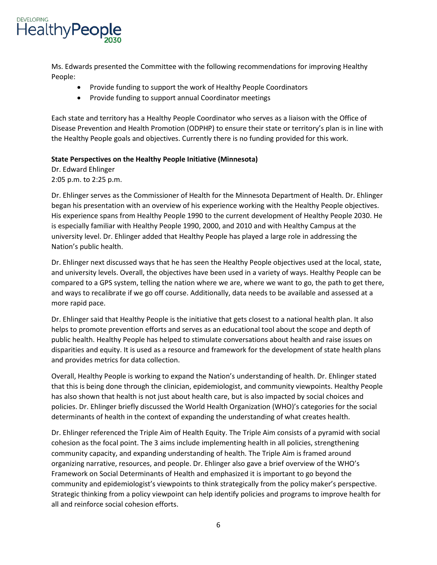

Ms. Edwards presented the Committee with the following recommendations for improving Healthy People:

- Provide funding to support the work of Healthy People Coordinators
- Provide funding to support annual Coordinator meetings

Each state and territory has a Healthy People Coordinator who serves as a liaison with the Office of Disease Prevention and Health Promotion (ODPHP) to ensure their state or territory's plan is in line with the Healthy People goals and objectives. Currently there is no funding provided for this work.

### **State Perspectives on the Healthy People Initiative (Minnesota)**

Dr. Edward Ehlinger 2:05 p.m. to 2:25 p.m.

Dr. Ehlinger serves as the Commissioner of Health for the Minnesota Department of Health. Dr. Ehlinger began his presentation with an overview of his experience working with the Healthy People objectives. His experience spans from Healthy People 1990 to the current development of Healthy People 2030. He is especially familiar with Healthy People 1990, 2000, and 2010 and with Healthy Campus at the university level. Dr. Ehlinger added that Healthy People has played a large role in addressing the Nation's public health.

Dr. Ehlinger next discussed ways that he has seen the Healthy People objectives used at the local, state, and university levels. Overall, the objectives have been used in a variety of ways. Healthy People can be compared to a GPS system, telling the nation where we are, where we want to go, the path to get there, and ways to recalibrate if we go off course. Additionally, data needs to be available and assessed at a more rapid pace.

Dr. Ehlinger said that Healthy People is the initiative that gets closest to a national health plan. It also helps to promote prevention efforts and serves as an educational tool about the scope and depth of public health. Healthy People has helped to stimulate conversations about health and raise issues on disparities and equity. It is used as a resource and framework for the development of state health plans and provides metrics for data collection.

Overall, Healthy People is working to expand the Nation's understanding of health. Dr. Ehlinger stated that this is being done through the clinician, epidemiologist, and community viewpoints. Healthy People has also shown that health is not just about health care, but is also impacted by social choices and policies. Dr. Ehlinger briefly discussed the World Health Organization (WHO)'s categories for the social determinants of health in the context of expanding the understanding of what creates health.

Dr. Ehlinger referenced the Triple Aim of Health Equity. The Triple Aim consists of a pyramid with social cohesion as the focal point. The 3 aims include implementing health in all policies, strengthening community capacity, and expanding understanding of health. The Triple Aim is framed around organizing narrative, resources, and people. Dr. Ehlinger also gave a brief overview of the WHO's Framework on Social Determinants of Health and emphasized it is important to go beyond the community and epidemiologist's viewpoints to think strategically from the policy maker's perspective. Strategic thinking from a policy viewpoint can help identify policies and programs to improve health for all and reinforce social cohesion efforts.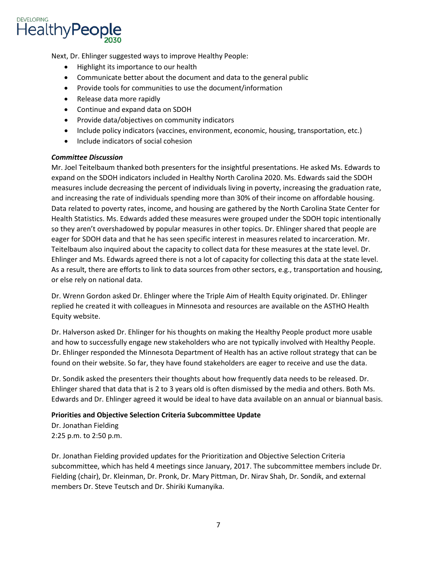

Next, Dr. Ehlinger suggested ways to improve Healthy People:

- Highlight its importance to our health
- Communicate better about the document and data to the general public
- Provide tools for communities to use the document/information
- Release data more rapidly
- Continue and expand data on SDOH
- Provide data/objectives on community indicators
- Include policy indicators (vaccines, environment, economic, housing, transportation, etc.)
- Include indicators of social cohesion

## *Committee Discussion*

Mr. Joel Teitelbaum thanked both presenters for the insightful presentations. He asked Ms. Edwards to expand on the SDOH indicators included in Healthy North Carolina 2020. Ms. Edwards said the SDOH measures include decreasing the percent of individuals living in poverty, increasing the graduation rate, and increasing the rate of individuals spending more than 30% of their income on affordable housing. Data related to poverty rates, income, and housing are gathered by the North Carolina State Center for Health Statistics. Ms. Edwards added these measures were grouped under the SDOH topic intentionally so they aren't overshadowed by popular measures in other topics. Dr. Ehlinger shared that people are eager for SDOH data and that he has seen specific interest in measures related to incarceration. Mr. Teitelbaum also inquired about the capacity to collect data for these measures at the state level. Dr. Ehlinger and Ms. Edwards agreed there is not a lot of capacity for collecting this data at the state level. As a result, there are efforts to link to data sources from other sectors, e.g., transportation and housing, or else rely on national data.

Dr. Wrenn Gordon asked Dr. Ehlinger where the Triple Aim of Health Equity originated. Dr. Ehlinger replied he created it with colleagues in Minnesota and resources are available on the ASTHO Health Equity website.

Dr. Halverson asked Dr. Ehlinger for his thoughts on making the Healthy People product more usable and how to successfully engage new stakeholders who are not typically involved with Healthy People. Dr. Ehlinger responded the Minnesota Department of Health has an active rollout strategy that can be found on their website. So far, they have found stakeholders are eager to receive and use the data.

Dr. Sondik asked the presenters their thoughts about how frequently data needs to be released. Dr. Ehlinger shared that data that is 2 to 3 years old is often dismissed by the media and others. Both Ms. Edwards and Dr. Ehlinger agreed it would be ideal to have data available on an annual or biannual basis.

## **Priorities and Objective Selection Criteria Subcommittee Update**

Dr. Jonathan Fielding 2:25 p.m. to 2:50 p.m.

Dr. Jonathan Fielding provided updates for the Prioritization and Objective Selection Criteria subcommittee, which has held 4 meetings since January, 2017. The subcommittee members include Dr. Fielding (chair), Dr. Kleinman, Dr. Pronk, Dr. Mary Pittman, Dr. Nirav Shah, Dr. Sondik, and external members Dr. Steve Teutsch and Dr. Shiriki Kumanyika.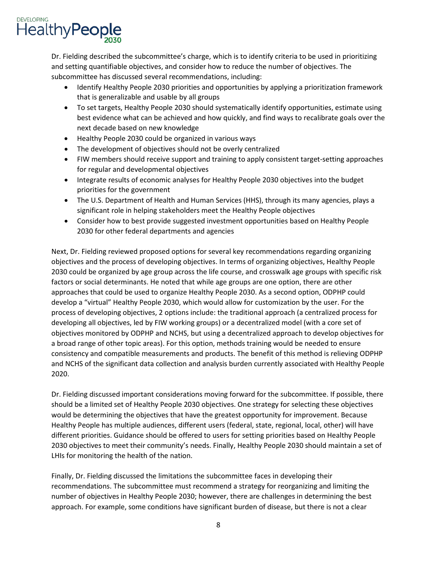Dr. Fielding described the subcommittee's charge, which is to identify criteria to be used in prioritizing and setting quantifiable objectives, and consider how to reduce the number of objectives. The subcommittee has discussed several recommendations, including:

- Identify Healthy People 2030 priorities and opportunities by applying a prioritization framework that is generalizable and usable by all groups
- To set targets, Healthy People 2030 should systematically identify opportunities, estimate using best evidence what can be achieved and how quickly, and find ways to recalibrate goals over the next decade based on new knowledge
- Healthy People 2030 could be organized in various ways
- The development of objectives should not be overly centralized
- FIW members should receive support and training to apply consistent target-setting approaches for regular and developmental objectives
- Integrate results of economic analyses for Healthy People 2030 objectives into the budget priorities for the government
- The U.S. Department of Health and Human Services (HHS), through its many agencies, plays a significant role in helping stakeholders meet the Healthy People objectives
- Consider how to best provide suggested investment opportunities based on Healthy People 2030 for other federal departments and agencies

Next, Dr. Fielding reviewed proposed options for several key recommendations regarding organizing objectives and the process of developing objectives. In terms of organizing objectives, Healthy People 2030 could be organized by age group across the life course, and crosswalk age groups with specific risk factors or social determinants. He noted that while age groups are one option, there are other approaches that could be used to organize Healthy People 2030. As a second option, ODPHP could develop a "virtual" Healthy People 2030, which would allow for customization by the user. For the process of developing objectives, 2 options include: the traditional approach (a centralized process for developing all objectives, led by FIW working groups) or a decentralized model (with a core set of objectives monitored by ODPHP and NCHS, but using a decentralized approach to develop objectives for a broad range of other topic areas). For this option, methods training would be needed to ensure consistency and compatible measurements and products. The benefit of this method is relieving ODPHP and NCHS of the significant data collection and analysis burden currently associated with Healthy People 2020.

Dr. Fielding discussed important considerations moving forward for the subcommittee. If possible, there should be a limited set of Healthy People 2030 objectives. One strategy for selecting these objectives would be determining the objectives that have the greatest opportunity for improvement. Because Healthy People has multiple audiences, different users (federal, state, regional, local, other) will have different priorities. Guidance should be offered to users for setting priorities based on Healthy People 2030 objectives to meet their community's needs. Finally, Healthy People 2030 should maintain a set of LHIs for monitoring the health of the nation.

Finally, Dr. Fielding discussed the limitations the subcommittee faces in developing their recommendations. The subcommittee must recommend a strategy for reorganizing and limiting the number of objectives in Healthy People 2030; however, there are challenges in determining the best approach. For example, some conditions have significant burden of disease, but there is not a clear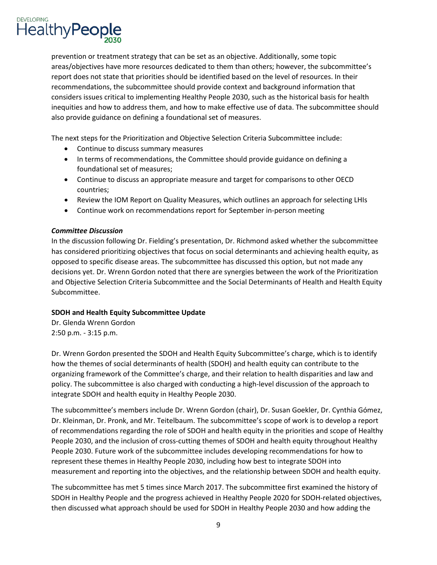

prevention or treatment strategy that can be set as an objective. Additionally, some topic areas/objectives have more resources dedicated to them than others; however, the subcommittee's report does not state that priorities should be identified based on the level of resources. In their recommendations, the subcommittee should provide context and background information that considers issues critical to implementing Healthy People 2030, such as the historical basis for health inequities and how to address them, and how to make effective use of data. The subcommittee should also provide guidance on defining a foundational set of measures.

The next steps for the Prioritization and Objective Selection Criteria Subcommittee include:

- Continue to discuss summary measures
- In t erms of recommendations, the Committee should provide guidance on defining a foundational set of measures;
- Continue to discuss an appropriate measure and target for comparisons to other OECD countries;
- Review the IOM Report on Quality Measures, which outlines an approach for selecting LHIs
- Continue work on recommendations report for September in-person meeting

## *Committee Discussion*

In the discussion following Dr. Fielding's presentation, Dr. Richmond asked whether the subcommittee has considered prioritizing objectives that focus on social determinants and achieving health equity, as opposed to specific disease areas. The subcommittee has discussed this option, but not made any decisions yet. Dr. Wrenn Gordon noted that there are synergies between the work of the Prioritization and Objective Selection Criteria Subcommittee and the Social Determinants of Health and Health Equity Subcommittee.

## **SDOH and Health Equity Subcommittee Update**

Dr. Glenda Wrenn Gordon 2:50 p.m. - 3:15 p.m.

Dr. Wrenn Gordon presented the SDOH and Health Equity Subcommittee's charge, which is to identify how the themes of social determinants of health (SDOH) and health equity can contribute to the organizing framework of the Committee's charge, and their relation to health disparities and law and policy. The subcommittee is also charged with conducting a high-level discussion of the approach to integrate SDOH and health equity in Healthy People 2030.

The subcommittee's members include Dr. Wrenn Gordon (chair), Dr. Susan Goekler, Dr. Cynthia Gómez, Dr. Kleinman, Dr. Pronk, and Mr. Teitelbaum. The subcommittee's scope of work is to develop a report of recommendations regarding the role of SDOH and health equity in the priorities and scope of Healthy People 2030, and the inclusion of cross-cutting themes of SDOH and health equity throughout Healthy People 2030. Future work of the subcommittee includes developing recommendations for how to represent these themes in Healthy People 2030, including how best to integrate SDOH into measurement and reporting into the objectives, and the relationship between SDOH and health equity.

The subcommittee has met 5 times since March 2017. The subcommittee first examined the history of SDOH in Healthy People and the progress achieved in Healthy People 2020 for SDOH-related objectives, then discussed what approach should be used for SDOH in Healthy People 2030 and how adding the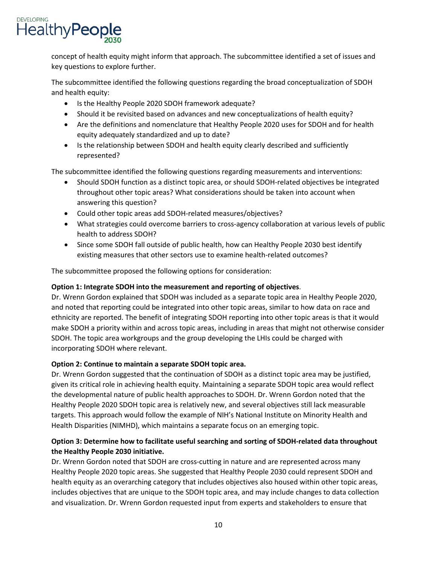concept of health equity might inform that approach. The subcommittee identified a set of issues and key questions to explore further.

The subcommittee identified the following questions regarding the broad conceptualization of SDOH and health equity:

- Is the Healthy People 2020 SDOH framework adequate?
- Should it be revisited based on advances and new conceptualizations of health equity?
- Are the definitions and nomenclature that Healthy People 2020 uses for SDOH and for health equity adequately standardized and up to date?
- Is the relationship between SDOH and health equity clearly described and sufficiently represented?

The subcommittee identified the following questions regarding measurements and interventions:

- Should SDOH function as a distinct topic area, or should SDOH-related objectives be integrated throughout other topic areas? What considerations should be taken into account when answering this question?
- Could other topic areas add SDOH-related measures/objectives?
- What strategies could overcome barriers to cross-agency collaboration at various levels of public health to address SDOH?
- Since some SDOH fall outside of public health, how can Healthy People 2030 best identify existing measures that other sectors use to examine health-related outcomes?

The subcommittee proposed the following options for consideration:

# **Option 1: Integrate SDOH into the measurement and reporting of objectives**.

Dr. Wrenn Gordon explained that SDOH was included as a separate topic area in Healthy People 2020, and noted that reporting could be integrated into other topic areas, similar to how data on race and ethnicity are reported. The benefit of integrating SDOH reporting into other topic areas is that it would make SDOH a priority within and across topic areas, including in areas that might not otherwise consider SDOH. The topic area workgroups and the group developing the LHIs could be charged with incorporating SDOH where relevant.

# **Option 2: Continue to maintain a separate SDOH topic area.**

Dr. Wrenn Gordon suggested that the continuation of SDOH as a distinct topic area may be justified, given its critical role in achieving health equity. Maintaining a separate SDOH topic area would reflect the developmental nature of public health approaches to SDOH. Dr. Wrenn Gordon noted that the Healthy People 2020 SDOH topic area is relatively new, and several objectives still lack measurable targets. This approach would follow the example of NIH's National Institute on Minority Health and Health Disparities (NIMHD), which maintains a separate focus on an emerging topic.

# **Option 3: Determine how to facilitate useful searching and sorting of SDOH-related data throughout the Healthy People 2030 initiative.**

Dr. Wrenn Gordon noted that SDOH are cross-cutting in nature and are represented across many Healthy People 2020 topic areas. She suggested that Healthy People 2030 could represent SDOH and health equity as an overarching category that includes objectives also housed within other topic areas, includes objectives that are unique to the SDOH topic area, and may include changes to data collection and visualization. Dr. Wrenn Gordon requested input from experts and stakeholders to ensure that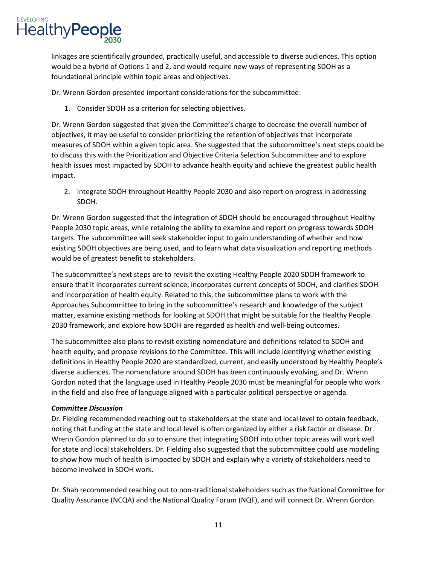linkages are scientifically grounded, practically useful, and accessible to diverse audiences. This option would be a hybrid of Options 1 and 2, and would require new ways of representing SDOH as a foundational principle within topic areas and objectives.

Dr. Wrenn Gordon presented important considerations for the subcommittee:

1. Consider SDOH as a criterion for selecting objectives.

Dr. Wrenn Gordon suggested that given the Committee's charge to decrease the overall number of objectives, it may be useful to consider prioritizing the retention of objectives that incorporate measures of SDOH within a given topic area. She suggested that the subcommittee's next steps could be to discuss this with the Prioritization and Objective Criteria Selection Subcommittee and to explore health issues most impacted by SDOH to advance health equity and achieve the greatest public health impact.

2. Integrate SDOH throughout Healthy People 2030 and also report on progress in addressing SDOH.

Dr. Wrenn Gordon suggested that the integration of SDOH should be encouraged throughout Healthy People 2030 topic areas, while retaining the ability to examine and report on progress towards SDOH targets. The subcommittee will seek stakeholder input to gain understanding of whether and how existing SDOH objectives are being used, and to learn what data visualization and reporting methods would be of greatest benefit to stakeholders.

The subcommittee's next steps are to revisit the existing Healthy People 2020 SDOH framework to ensure that it incorporates current science, incorporates current concepts of SDOH, and clarifies SDOH and incorporation of health equity. Related to this, the subcommittee plans to work with the Approaches Subcommittee to bring in the subcommittee's research and knowledge of the subject matter, examine existing methods for looking at SDOH that might be suitable for the Healthy People 2030 framework, and explore how SDOH are regarded as health and well-being outcomes.

The subcommittee also plans to revisit existing nomenclature and definitions related to SDOH and health equity, and propose revisions to the Committee. This will include identifying whether existing definitions in Healthy People 2020 are standardized, current, and easily understood by Healthy People's diverse audiences. The nomenclature around SDOH has been continuously evolving, and Dr. Wrenn Gordon noted that the language used in Healthy People 2030 must be meaningful for people who work in the field and also free of language aligned with a particular political perspective or agenda.

# *Committee Discussion*

Dr. Fielding recommended reaching out to stakeholders at the state and local level to obtain feedback, noting that funding at the state and local level is often organized by either a risk factor or disease. Dr. Wrenn Gordon planned to do so to ensure that integrating SDOH into other topic areas will work well for state and local stakeholders. Dr. Fielding also suggested that the subcommittee could use modeling to show how much of health is impacted by SDOH and explain why a variety of stakeholders need to become involved in SDOH work.

Dr. Shah recommended reaching out to non-traditional stakeholders such as the National Committee for Quality Assurance (NCQA) and the National Quality Forum (NQF), and will connect Dr. Wrenn Gordon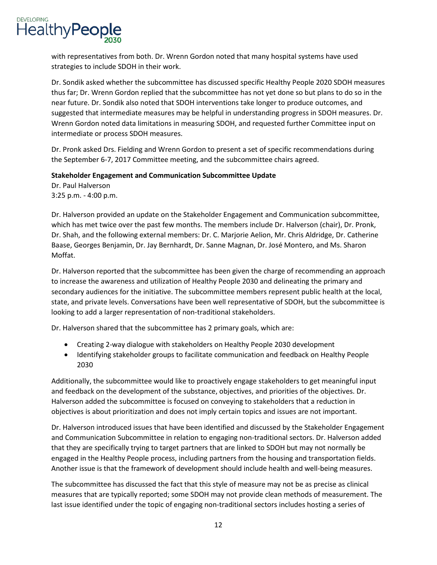

with representatives from both. Dr. Wrenn Gordon noted that many hospital systems have used strategies to include SDOH in their work.

Dr. Sondik asked whether the subcommittee has discussed specific Healthy People 2020 SDOH measures thus far; Dr. Wrenn Gordon replied that the subcommittee has not yet done so but plans to do so in the near future. Dr. Sondik also noted that SDOH interventions take longer to produce outcomes, and suggested that intermediate measures may be helpful in understanding progress in SDOH measures. Dr. Wrenn Gordon noted data limitations in measuring SDOH, and requested further Committee input on intermediate or process SDOH measures.

Dr. Pronk asked Drs. Fielding and Wrenn Gordon to present a set of specific recommendations during the September 6-7, 2017 Committee meeting, and the subcommittee chairs agreed.

## **Stakeholder Engagement and Communication Subcommittee Update**

Dr. Paul Halverson 3:25 p.m. - 4:00 p.m.

Dr. Halverson provided an update on the Stakeholder Engagement and Communication subcommittee, which has met twice over the past few months. The members include Dr. Halverson (chair), Dr. Pronk, Dr. Shah, and the following external members: Dr. C. Marjorie Aelion, Mr. Chris Aldridge, Dr. Catherine Baase, Georges Benjamin, Dr. Jay Bernhardt, Dr. Sanne Magnan, Dr. José Montero, and Ms. Sharon Moffat.

Dr. Halverson reported that the subcommittee has been given the charge of recommending an approach to increase the awareness and utilization of Healthy People 2030 and delineating the primary and secondary audiences for the initiative. The subcommittee members represent public health at the local, state, and private levels. Conversations have been well representative of SDOH, but the subcommittee is looking to add a larger representation of non-traditional stakeholders.

Dr. Halverson shared that the subcommittee has 2 primary goals, which are:

- Creating 2-way dialogue with stakeholders on Healthy People 2030 development
- Identifying stakeholder groups to facilitate communication and feedback on Healthy People 2030

Additionally, the subcommittee would like to proactively engage stakeholders to get meaningful input and feedback on the development of the substance, objectives, and priorities of the objectives. Dr. Halverson added the subcommittee is focused on conveying to stakeholders that a reduction in objectives is about prioritization and does not imply certain topics and issues are not important.

Dr. Halverson introduced issues that have been identified and discussed by the Stakeholder Engagement and Communication Subcommittee in relation to engaging non-traditional sectors. Dr. Halverson added that they are specifically trying to target partners that are linked to SDOH but may not normally be engaged in the Healthy People process, including partners from the housing and transportation fields. Another issue is that the framework of development should include health and well-being measures.

The subcommittee has discussed the fact that this style of measure may not be as precise as clinical measures that are typically reported; some SDOH may not provide clean methods of measurement. The last issue identified under the topic of engaging non-traditional sectors includes hosting a series of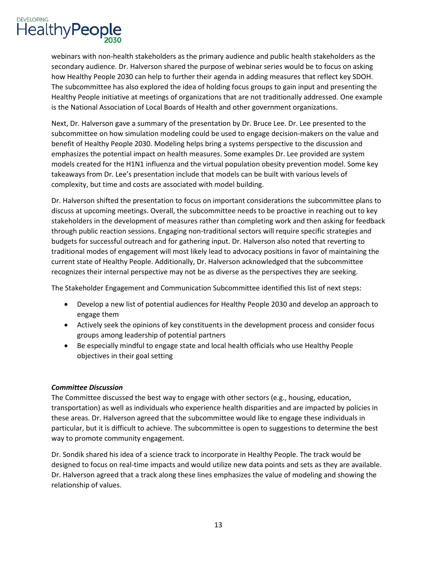

webinars with non-health stakeholders as the primary audience and public health stakeholders as the secondary audience. Dr. Halverson shared the purpose of webinar series would be to focus on asking how Healthy People 2030 can help to further their agenda in adding measures that reflect key SDOH. The subcommittee has also explored the idea of holding focus groups to gain input and presenting the Healthy People initiative at meetings of organizations that are not traditionally addressed. One example is the National Association of Local Boards of Health and other government organizations.

Next, Dr. Halverson gave a summary of the presentation by Dr. Bruce Lee. Dr. Lee presented to the subcommittee on how simulation modeling could be used to engage decision-makers on the value and benefit of Healthy People 2030. Modeling helps bring a systems perspective to the discussion and emphasizes the potential impact on health measures. Some examples Dr. Lee provided are system models created for the H1N1 influenza and the virtual population obesity prevention model. Some key takeaways from Dr. Lee's presentation include that models can be built with various levels of complexity, but time and costs are associated with model building.

Dr. Halverson shifted the presentation to focus on important considerations the subcommittee plans to discuss at upcoming meetings. Overall, the subcommittee needs to be proactive in reaching out to key stakeholders in the development of measures rather than completing work and then asking for feedback through public reaction sessions. Engaging non-traditional sectors will require specific strategies and budgets for successful outreach and for gathering input. Dr. Halverson also noted that reverting to traditional modes of engagement will most likely lead to advocacy positions in favor of maintaining the current state of Healthy People. Additionally, Dr. Halverson acknowledged that the subcommittee recognizes their internal perspective may not be as diverse as the perspectives they are seeking.

The Stakeholder Engagement and Communication Subcommittee identified this list of next steps:

- Develop a new list of potential audiences for Healthy People 2030 and develop an approach to engage them
- Actively seek the opinions of key constituents in the development process and consider focus groups among leadership of potential partners
- Be especially mindful to engage state and local health officials who use Healthy People objectives in their goal setting

## *Committee Discussion*

The Committee discussed the best way to engage with other sectors (e.g., housing, education, transportation) as well as individuals who experience health disparities and are impacted by policies in these areas. Dr. Halverson agreed that the subcommittee would like to engage these individuals in particular, but it is difficult to achieve. The subcommittee is open to suggestions to determine the best way to promote community engagement.

Dr. Sondik shared his idea of a science track to incorporate in Healthy People. The track would be designed to focus on real-time impacts and would utilize new data points and sets as they are available. Dr. Halverson agreed that a track along these lines emphasizes the value of modeling and showing the relationship of values.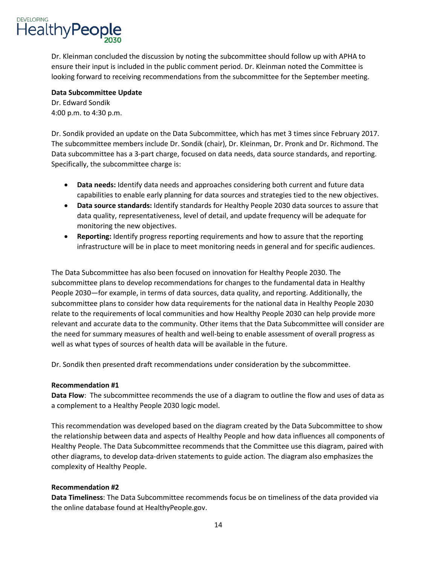Dr. Kleinman concluded the discussion by noting the subcommittee should follow up with APHA to ensure their input is included in the public comment period. Dr. Kleinman noted the Committee is looking forward to receiving recommendations from the subcommittee for the September meeting.

# **Data Subcommittee Update**

Dr. Edward Sondik 4:00 p.m. to 4:30 p.m.

Dr. Sondik provided an update on the Data Subcommittee, which has met 3 times since February 2017. The subcommittee members include Dr. Sondik (chair), Dr. Kleinman, Dr. Pronk and Dr. Richmond. The Data subcommittee has a 3-part charge, focused on data needs, data source standards, and reporting. Specifically, the subcommittee charge is:

- **Data needs:** Identify data needs and approaches considering both current and future data capabilities to enable early planning for data sources and strategies tied to the new objectives.
- **Data source standards:** Identify standards for Healthy People 2030 data sources to assure that data quality, representativeness, level of detail, and update frequency will be adequate for monitoring the new objectives.
- **Reporting:** Identify progress reporting requirements and how to assure that the reporting infrastructure will be in place to meet monitoring needs in general and for specific audiences.

The Data Subcommittee has also been focused on innovation for Healthy People 2030. The subcommittee plans to develop recommendations for changes to the fundamental data in Healthy People 2030—for example, in terms of data sources, data quality, and reporting. Additionally, the subcommittee plans to consider how data requirements for the national data in Healthy People 2030 relate to the requirements of local communities and how Healthy People 2030 can help provide more relevant and accurate data to the community. Other items that the Data Subcommittee will consider are the need for summary measures of health and well-being to enable assessment of overall progress as well as what types of sources of health data will be available in the future.

Dr. Sondik then presented draft recommendations under consideration by the subcommittee.

## **Recommendation #1**

**Data Flow**: The subcommittee recommends the use of a diagram to outline the flow and uses of data as a complement to a Healthy People 2030 logic model.

This recommendation was developed based on the diagram created by the Data Subcommittee to show the relationship between data and aspects of Healthy People and how data influences all components of Healthy People. The Data Subcommittee recommends that the Committee use this diagram, paired with other diagrams, to develop data-driven statements to guide action. The diagram also emphasizes the complexity of Healthy People.

# **Recommendation #2**

**Data Timeliness**: The Data Subcommittee recommends focus be on timeliness of the data provided via the online database found at HealthyPeople.gov.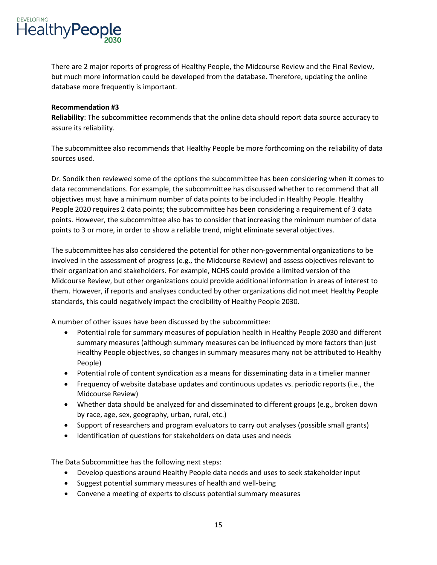There are 2 major reports of progress of Healthy People, the Midcourse Review and the Final Review, but much more information could be developed from the database. Therefore, updating the online database more frequently is important.

## **Recommendation #3**

**Reliability**: The subcommittee recommends that the online data should report data source accuracy to assure its reliability.

The subcommittee also recommends that Healthy People be more forthcoming on the reliability of data sources used.

Dr. Sondik then reviewed some of the options the subcommittee has been considering when it comes to data recommendations. For example, the subcommittee has discussed whether to recommend that all objectives must have a minimum number of data points to be included in Healthy People. Healthy People 2020 requires 2 data points; the subcommittee has been considering a requirement of 3 data points. However, the subcommittee also has to consider that increasing the minimum number of data points to 3 or more, in order to show a reliable trend, might eliminate several objectives.

The subcommittee has also considered the potential for other non-governmental organizations to be involved in the assessment of progress (e.g., the Midcourse Review) and assess objectives relevant to their organization and stakeholders. For example, NCHS could provide a limited version of the Midcourse Review, but other organizations could provide additional information in areas of interest to them. However, if reports and analyses conducted by other organizations did not meet Healthy People standards, this could negatively impact the credibility of Healthy People 2030.

A number of other issues have been discussed by the subcommittee:

- Potential role for summary measures of population health in Healthy People 2030 and different summary measures (although summary measures can be influenced by more factors than just Healthy People objectives, so changes in summary measures many not be attributed to Healthy People)
- Potential role of content syndication as a means for disseminating data in a timelier manner
- Frequency of website database updates and continuous updates vs. periodic reports (i.e., the Midcourse Review)
- Whether data should be analyzed for and disseminated to different groups (e.g., broken down by race, age, sex, geography, urban, rural, etc.)
- Support of researchers and program evaluators to carry out analyses (possible small grants)
- Identification of questions for stakeholders on data uses and needs

The Data Subcommittee has the following next steps:

- Develop questions around Healthy People data needs and uses to seek stakeholder input
- Suggest potential summary measures of health and well-being
- Convene a meeting of experts to discuss potential summary measures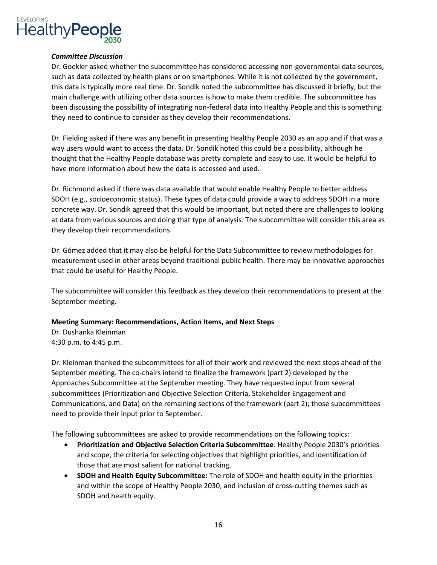

#### *Committee Discussion*

Dr. Goekler asked whether the subcommittee has considered accessing non-governmental data sources, such as data collected by health plans or on smartphones. While it is not collected by the government, this data is typically more real time. Dr. Sondik noted the subcommittee has discussed it briefly, but the main challenge with utilizing other data sources is how to make them credible. The subcommittee has been discussing the possibility of integrating non-federal data into Healthy People and this is something they need to continue to consider as they develop their recommendations.

Dr. Fielding asked if there was any benefit in presenting Healthy People 2030 as an app and if that was a way users would want to access the data. Dr. Sondik noted this could be a possibility, although he thought that the Healthy People database was pretty complete and easy to use. It would be helpful to have more information about how the data is accessed and used.

Dr. Richmond asked if there was data available that would enable Healthy People to better address SDOH (e.g., socioeconomic status). These types of data could provide a way to address SDOH in a more concrete way. Dr. Sondik agreed that this would be important, but noted there are challenges to looking at data from various sources and doing that type of analysis. The subcommittee will consider this area as they develop their recommendations.

Dr. Gómez added that it may also be helpful for the Data Subcommittee to review methodologies for measurement used in other areas beyond traditional public health. There may be innovative approaches that could be useful for Healthy People.

The subcommittee will consider this feedback as they develop their recommendations to present at the September meeting.

## **Meeting Summary: Recommendations, Action Items, and Next Steps**

Dr. Dushanka Kleinman 4:30 p.m. to 4:45 p.m.

Dr. Kleinman thanked the subcommittees for all of their work and reviewed the next steps ahead of the September meeting. The co-chairs intend to finalize the framework (part 2) developed by the Approaches Subcommittee at the September meeting. They have requested input from several subcommittees (Prioritization and Objective Selection Criteria, Stakeholder Engagement and Communications, and Data) on the remaining sections of the framework (part 2); those subcommittees need to provide their input prior to September.

The following subcommittees are asked to provide recommendations on the following topics:

- **Prioritization and Objective Selection Criteria Subcommittee**: Healthy People 2030's priorities and scope, the criteria for selecting objectives that highlight priorities, and identification of those that are most salient for national tracking.
- **SDOH and Health Equity Subcommittee:** The role of SDOH and health equity in the priorities and within the scope of Healthy People 2030, and inclusion of cross-cutting themes such as SDOH and health equity.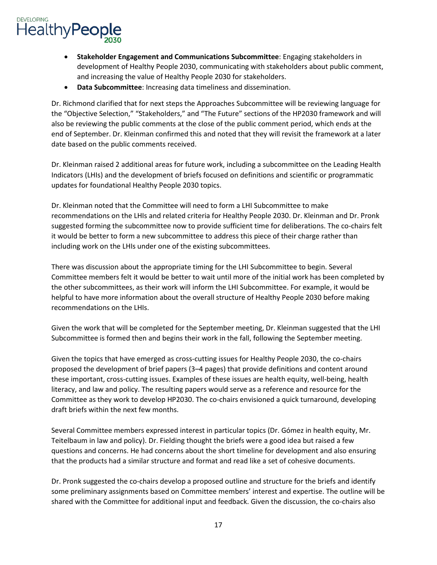- **Stakeholder Engagement and Communications Subcommittee**: Engaging stakeholders in development of Healthy People 2030, communicating with stakeholders about public comment, and increasing the value of Healthy People 2030 for stakeholders.
- **Data Subcommittee**: Increasing data timeliness and dissemination.

Dr. Richmond clarified that for next steps the Approaches Subcommittee will be reviewing language for the "Objective Selection," "Stakeholders," and "The Future" sections of the HP2030 framework and will also be reviewing the public comments at the close of the public comment period, which ends at the end of September. Dr. Kleinman confirmed this and noted that they will revisit the framework at a later date based on the public comments received.

Dr. Kleinman raised 2 additional areas for future work, including a subcommittee on the Leading Health Indicators (LHIs) and the development of briefs focused on definitions and scientific or programmatic updates for foundational Healthy People 2030 topics.

Dr. Kleinman noted that the Committee will need to form a LHI Subcommittee to make recommendations on the LHIs and related criteria for Healthy People 2030. Dr. Kleinman and Dr. Pronk suggested forming the subcommittee now to provide sufficient time for deliberations. The co-chairs felt it would be better to form a new subcommittee to address this piece of their charge rather than including work on the LHIs under one of the existing subcommittees.

There was discussion about the appropriate timing for the LHI Subcommittee to begin. Several Committee members felt it would be better to wait until more of the initial work has been completed by the other subcommittees, as their work will inform the LHI Subcommittee. For example, it would be helpful to have more information about the overall structure of Healthy People 2030 before making recommendations on the LHIs.

Given the work that will be completed for the September meeting, Dr. Kleinman suggested that the LHI Subcommittee is formed then and begins their work in the fall, following the September meeting.

Given the topics that have emerged as cross-cutting issues for Healthy People 2030, the co-chairs proposed the development of brief papers (3–4 pages) that provide definitions and content around these important, cross-cutting issues. Examples of these issues are health equity, well-being, health literacy, and law and policy. The resulting papers would serve as a reference and resource for the Committee as they work to develop HP2030. The co-chairs envisioned a quick turnaround, developing draft briefs within the next few months.

Several Committee members expressed interest in particular topics (Dr. Gómez in health equity, Mr. Teitelbaum in law and policy). Dr. Fielding thought the briefs were a good idea but raised a few questions and concerns. He had concerns about the short timeline for development and also ensuring that the products had a similar structure and format and read like a set of cohesive documents.

Dr. Pronk suggested the co-chairs develop a proposed outline and structure for the briefs and identify some preliminary assignments based on Committee members' interest and expertise. The outline will be shared with the Committee for additional input and feedback. Given the discussion, the co-chairs also